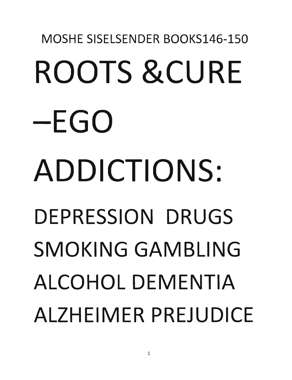# · MOSHE SISELSENDER BOOKS146-150 ROOTS &CURE -EGO ADDICTIONS: DEPRESSION DRUGS SMOKING GAMBLING ALCOHOL DEMENTIA ALZHEIMER PREJUDICE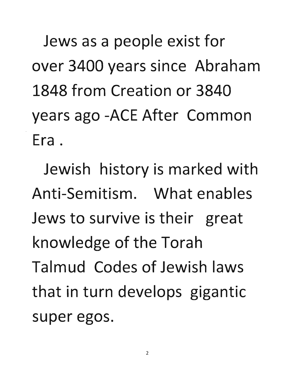Jews as a people exist for over 3400 years since Abraham **1848 from Creation or 3840**  years ago -ACE After Common **Era.** 

**Jewish history is marked with Anti-Semitism. What enables Jews to survive is their great knowledge of the Torah Talmud Codes of Jewish laws**  that in turn develops gigantic **super egos.**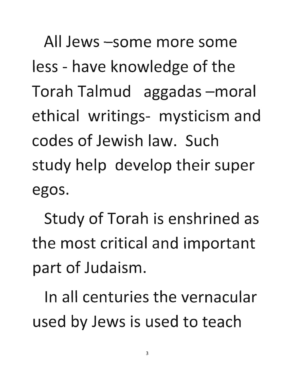All Jews -some more some less - have knowledge of the Torah Talmud aggadas -moral ethical writings- mysticism and codes of Jewish law. Such study help develop their super egos.

Study of Torah is enshrined as the most critical and important part of Judaism.

In all centuries the vernacular used by Jews is used to teach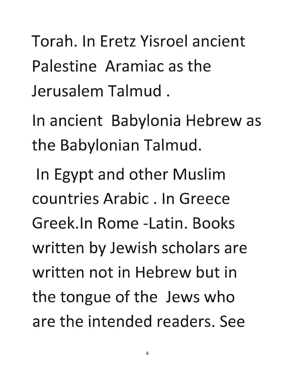Torah. In Eretz Yisroel ancient .Palestine Aramiac as the Jerusalem Talmud.

In ancient Babylonia Hebrew as the Babylonian Talmud.

In Egypt and other Muslim countries Arabic. In Greece Greek.ln Rome -Latin. Books written by Jewish scholars are written not in Hebrew but in the tongue of the Jews who are the intended readers. See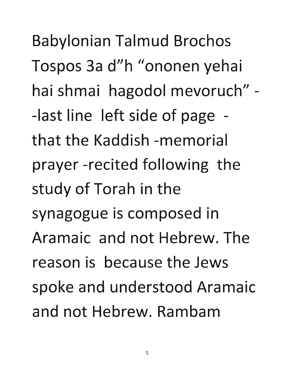Babylonian Talmud Brochos Tospos 3a d"h "ononen yehai hai shmai hagodol mevoruch" - -last line left side of page **that the Kaddish -memorial prayer -recited following the study of Torah in the synagogue is composed in Aramaic and not Hebrew. The reason is because the Jews spoke and understood Aramaic and not Hebrew. Rambam**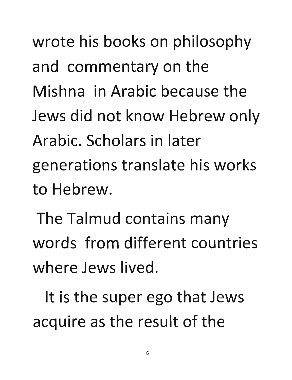wrote his books on philosophy and commentary on the **Mishna in Arabic because the**  Jews did not know Hebrew only **Arabic. Scholars in later generations translate his works to Hebrew.** 

The Talmud contains many **words from different countries where Jews lived.** 

**It is the super ego that Jews acquire** aS ,the **result of the**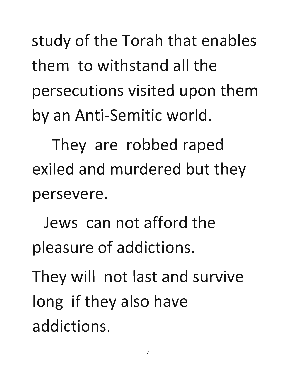study of the Torah that enables **them to withstand all the**  persecutions visited upon them by an Anti-Semitic world.

**They are robbed raped exiled and murdered but they persevere.** 

**Jews can not afford the pleasure of addictions.** 

They will not last and survive **long if they also have addictions.**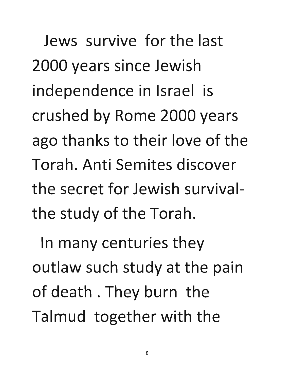**Jews survive for the last**  2000 years since Jewish independence in Israel is crushed by Rome 2000 years **ago thanks to their love of the Torah. Anti Semites discover the secret for Jewish survivalthe study of the Torah.** 

**In many centuries they outlaw such study at the pain**  of death. They burn the Talmud together with the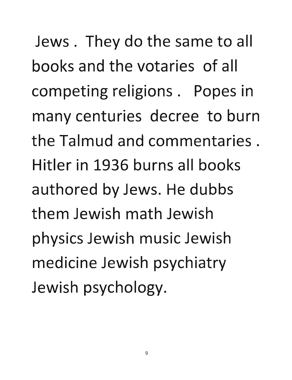Jews. They do the same to all **books and the votaries of all**  competing religions. Popes in many centuries decree to burn **the Talmud and commentaries. Hitler in 1936 burns all books authored by Jews. He dubbs them Jewish math Jewish physics Jewish music Jewish**  medicine Jewish psychiatry Jewish psychology.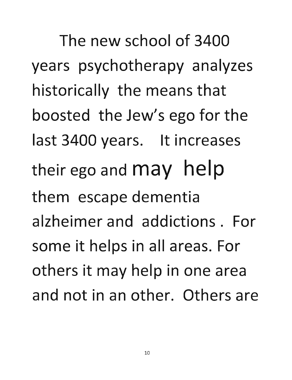The new school of 3400 years psychotherapy analyzes historically the means that boosted the Jew's ego for the last 3400 years. It increases their ego and may help them escape dementia alzheimer and addictions. For some it helps in all areas. For others it may help in one area and not in an other. Others are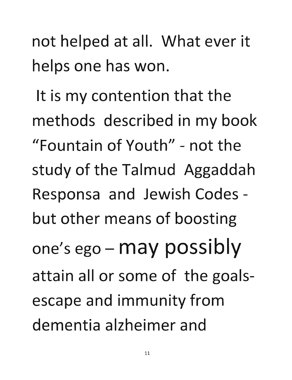not helped at all. What ever it helps one has won.

It is my contention that the methods described in my book "Fountain of Youth" - not the study of the Talmud Aggaddah Responsa and Jewish Codes but other means of boosting one's ego - may possibly attain all or some of the goalsescape and immunity from dementia alzheimer and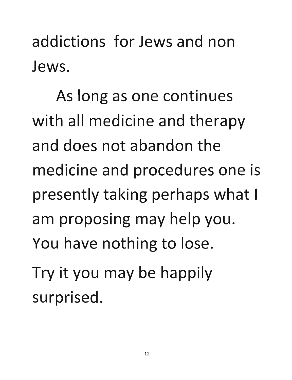addictions for Jews and non Jews.

As long as one continues with all medicine and therapy and does not abandon the medicine and procedures one is presently taking perhaps what I am proposing may help you. You have nothing to lose. Try it you may be happily surprised.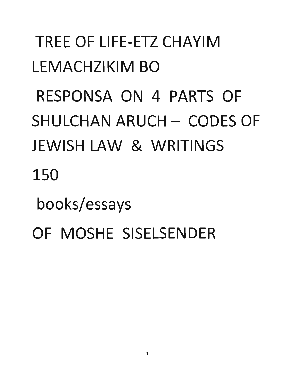### TREE OF LIFE-ETZ CHAYIM LEMACHZIKIM BO RESPONSA ON 4 PARTS OF SHULCHAN ARUCH - CODES OF JEWISH LAW & WRITINGS 150 books/essays OF MOSHE SISELSENDER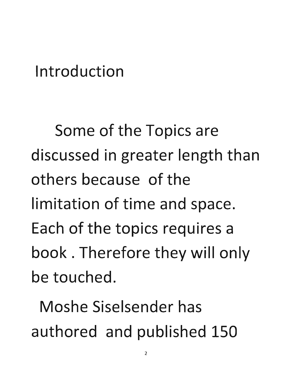#### **Introduction**

Some of the Topics are **discussed in greater length than others because of the**  limitation of time and space. **Each of the topics requires** a· book. Therefore they will only **be touched.** 

**Moshe Siselsender has**  authored and published 150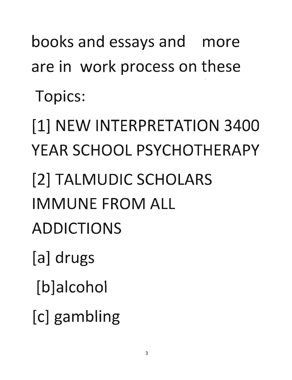books and essays and more are in work process on these Topics:

[1] NEW INTERPRETATION 3400 YEAR SCHOOL PSYCHOTHERAPY

[2] TALMUDIC SCHOLARS IMMUNE FROM ALL

ADDICTIONS

[a] drugs

[b] alcohol

[c] gambling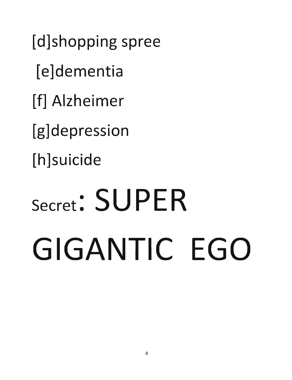[d]shopping spree [e]dementia [f] Alzheimer [g]depression [h]suicide

# Secret: SUPER GIGANTIC EGO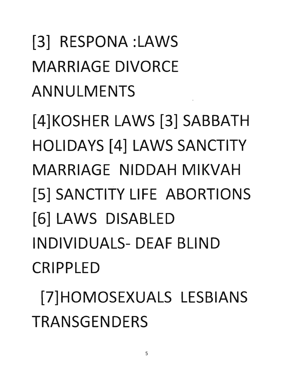[3] RESPONA :LAWS MARRIAGE DIVORCE ANNULMENTS [4]KOSHER LAWS [3] SABBATH HOLIDAYS [4] LAWS SANCTITY MARRIAGE NIDDAH MIKVAH IS] SANCTITY **LIFE** ABORTIONS [6] LAWS DISABLED INDIVIDUALS- DEAF BLIND CRIPPLED

[7]HOMOSEXUALS LESBIANS TRANSGENDERS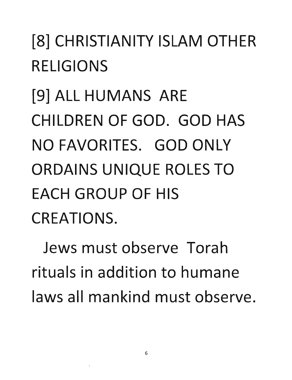### [8] CHRISTIANITY ISLAM OTHER RELIGIONS

19] ALL HUMANS ARE CHILDREN OF GOD. GOD HAS NO FAVORITES. GOD ONLY ORDAINS UNIQUE ROLES TO EACH GROUP OF HIS .CREATIONS.

Jews must observe Torah rituals in addition to humane laws all mankind must observe.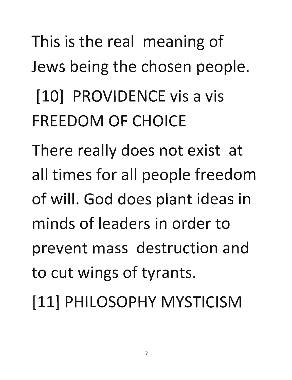### This is the real meaning of

Jews being the chosen people.

### [10] PROVIDENCE vis a vis FREEDOM OF CHOICE

There really does not exist at all times for all people freedom of will. God does plant ideas in minds of leaders in order to prevent mass destruction and to cut wings of tyrants.

[11] PHILOSOPHY MYSTICISM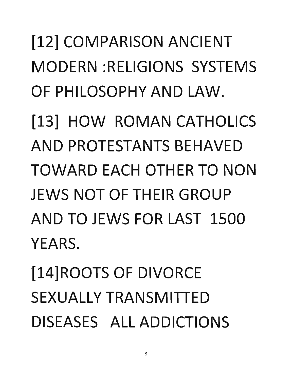### [12] COMPARISON ANCIENT MODERN :RELIGIONS SYSTEMS OF PHILOSOPHY AND LAW.

[13] HOW ROMAN CATHOLICS AND PROTESTANTS BEHAVED TOWARD EACH OTHER TO NON JEWS NOT OF THEIR GROUP AND TO JEWS FOR LAST 1500 YEARS.

114]ROOTS OF DIVORCE SEXUALLY TRANSMITTED DISEASES ALL ADDICTIONS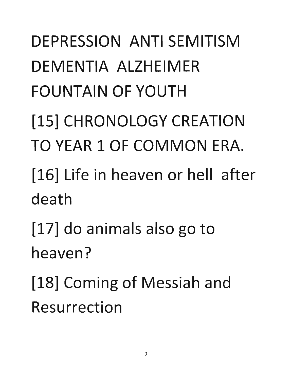DEPRESSION ANTI SEMITISM DEMENTIA ALZHEIMER FOUNTAIN OF YOUTH [15] CHRONOLOGY CREATION TO YEAR 1 OF COMMON ERA. [16] Life in heaven or hell after death [17] do animals also go to heaven? [18] Coming of Messiah and Resurrection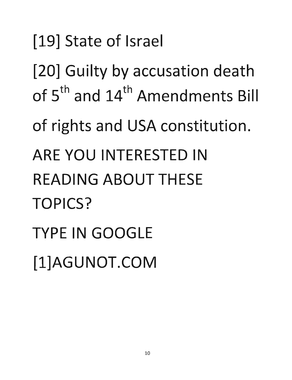### [19] State of Israel

[20] Guilty by accusation death of 5<sup>th</sup> and 14<sup>th</sup> Amendments Bill

of rights and USA constitution.

ARE YOU INTERESTED IN

READING ABOUT THESE TOPICS?

TYPE IN GOOGLE

[l]AGUNOT.COM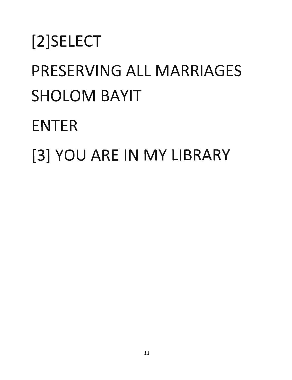### [2]SElECT .PRESERVING All MARRIAGES SHOlOM BAYIT ENTER [3] YOU ARE IN MY LIBRARY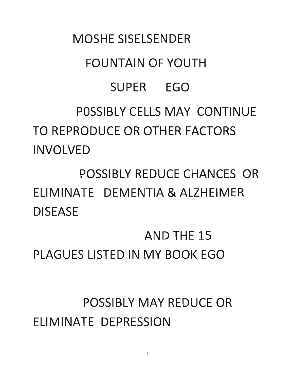#### MOSHE SISELSENDER

#### FOUNTAIN OF YOUTH

#### SUPER EGO

#### POSSIBLY CELLS MAY CONTINUE TO REPRODUCE OR OTHER FACTORS INVOLVED

POSSIBLY REDUCE CHANCES OR ELIMINATE DEMENTIA & ALZHEIMER **DISEASE** 

AND THE 15 PLAGUES LISTED IN MY BOOK EGO

POSSIBLY MAY REDUCE OR ELIMINATE DEPRESSION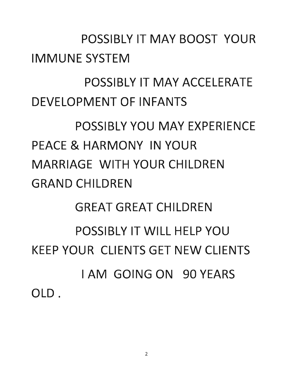#### POSSIBLY IT MAY BOOST YOUR IMMUNE SYSTEM

#### POSSIBLY IT MAY ACCELERATE DEVELOPMENT OF INFANTS

#### POSSIBLY YOU MAY EXPERIENCE PEACE & HARMONY IN YOUR MARRIAGE WITH YOUR CHILDREN GRAND CHILDREN

#### GREAT GREAT CHILDREN

#### POSSIBLY IT WILL HELP YOU KEEP YOUR CLIENTS GET NEW CLIENTS I AM GOING ON 90 YEARS OLD.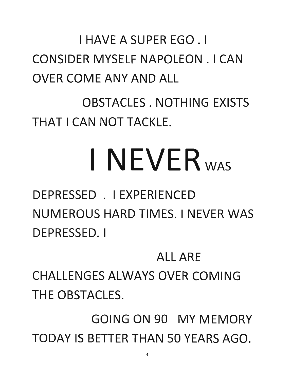#### I HAVE A SUPER EGO. I CONSIDER MYSELF NAPOLEON. I CAN OVER COME ANY AND ALL

OBSTACLES. NOTHING EXISTS THAT I CAN NOT TACKLE.

# I NEVER<sub>WAS</sub>

DEPRESSED . I EXPERIENCED NUMEROUS HARD TIMES. I NEVER WAS DEPRESSED. I

#### ALL ARE

CHALLENGES ALWAYS OVER COMING THE OBSTACLES.

GOING ON 90 MY MEMORY TODAY IS BETTER THAN 50 YEARS AGO.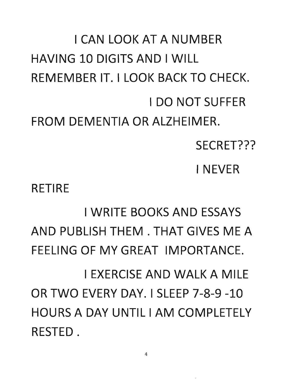I CAN LOOK AT A NUMBER HAVING 10 DIGITS AND I WILL REMEMBER IT. I LOOK BACK TO CHECK. I DO NOT SUFFER FROM DEMENTIA OR ALZHEIMER. RETIRE SECRET??? I NEVER **I WRITE BOOKS AND ESSAYS** AND PUBLISH THEM. THAT GIVES ME A FEELING OF MY GREAT IMPORTANCE. I EXERCISE AND WALK A MILE OR TWO EVERY DAY. I SLEEP 7-8-9 -10 HOURS A DAY UNTIL I AM COMPLETELY RESTED.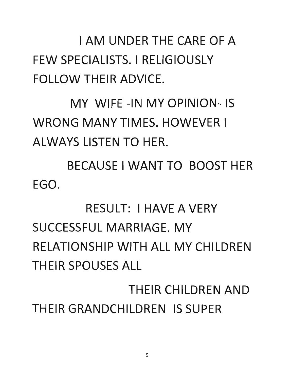I AM UNDER THE CARE OF A FEW SPECIALISTS. I RELIGIOUSLY FOLLOW THEIR ADVICE.

MY WIFE -IN MY OPINION- IS WRONG MANY TIMES. HOWEVER I ALWAYS LISTEN TO HER.

BECAUSE I WANT TO BOOST HER ·EGO.

#### RESULT: I HAVE A VERY SUCCESSFUL MARRIAGE. MY RELATIONSHIP WITH ALL MY CHILDREN THEIR SPOUSES ALL

THEIR CHILDREN AND THEIR GRANDCHILDREN IS SUPER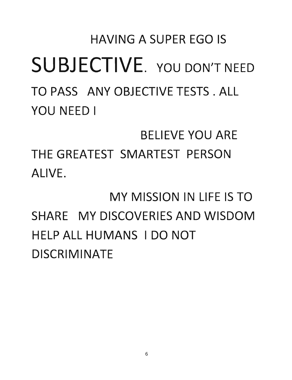### HAVING A SUPER EGO IS SUBJECTIVE. YOU DON'T NEED TO PASS ANY OBJECTIVE TESTS. ALL YOU NEED I

BELIEVE YOU ARE

THE GREATEST SMARTEST PERSON ALIVE.

MY MISSION IN LIFE IS TO SHARE MY DISCOVERIES AND WISDOM HELP ALL HUMANS I DO NOT DISCRIMINATE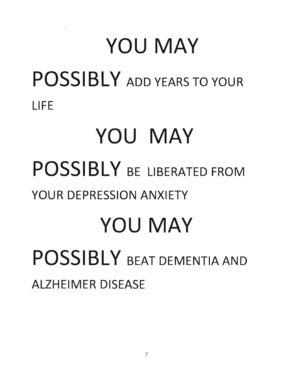### **YOU MAY**  POSSIBLY ADD YEARS TO YOUR **LIFE YOU MAY POSSIBLY BE LIBERATED FROM YOUR DEPRESSION ANXIETY YOU MAY POSSIBLY** BEAT DEMENTIA AND **ALZHEIMER DISEASE**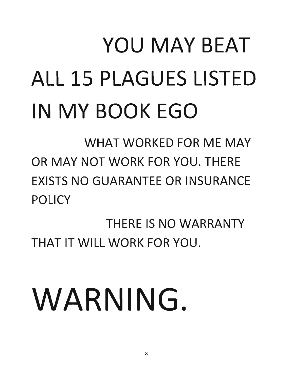## YOU MAY BEAT ALL 15 PLAGUES LISTED IN MY BOOK EGO

WHAT WORKED FOR ME MAY OR MAY NOT WORK FOR YOU. THERE EXISTS NO GUARANTEE OR INSURANCE POLICY

THERE IS NO WARRANTY THAT IT WILL WORK FOR YOU.

# WARNING.